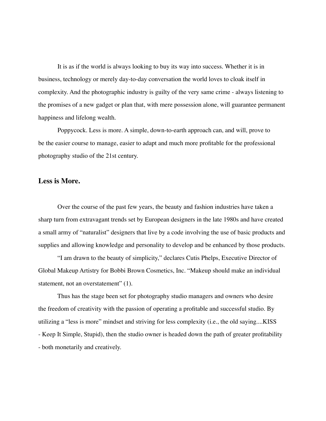It is as if the world is always looking to buy its way into success. Whether it is in business, technology or merely day-to-day conversation the world loves to cloak itself in complexity. And the photographic industry is guilty of the very same crime - always listening to the promises of a new gadget or plan that, with mere possession alone, will guarantee permanent happiness and lifelong wealth.

Poppycock. Less is more. A simple, down-to-earth approach can, and will, prove to be the easier course to manage, easier to adapt and much more profitable for the professional photography studio of the 21st century.

#### **Less is More.**

Over the course of the past few years, the beauty and fashion industries have taken a sharp turn from extravagant trends set by European designers in the late 1980s and have created a small army of "naturalist" designers that live by a code involving the use of basic products and supplies and allowing knowledge and personality to develop and be enhanced by those products.

"I am drawn to the beauty of simplicity," declares Cutis Phelps, Executive Director of Global Makeup Artistry for Bobbi Brown Cosmetics, Inc. "Makeup should make an individual statement, not an overstatement" (1).

Thus has the stage been set for photography studio managers and owners who desire the freedom of creativity with the passion of operating a profitable and successful studio. By utilizing a "less is more" mindset and striving for less complexity (i.e., the old saying....KISS - Keep It Simple, Stupid), then the studio owner is headed down the path of greater profitability - both monetarily and creatively.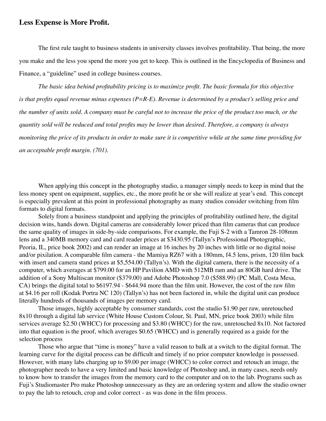### **Less Expense is More Profit.**

The first rule taught to business students in university classes involves profitability. That being, the more you make and the less you spend the more you get to keep. This is outlined in the Encyclopedia of Business and Finance, a "guideline" used in college business courses.

*The basic idea behind profitability pricing is to maximize profit. The basic formula for this objective is that profits equal revenue minus expenses (P=R-E). Revenue is determined by a product's selling price and the number of units sold. A company must be careful not to increase the price of the product too much, or the quantity sold will be reduced and total profits may be lower than desired. Therefore, a company is always monitoring the price of its products in order to make sure it is competitive while at the same time providing for an acceptable profit margin. (701).*

When applying this concept in the photography studio, a manager simply needs to keep in mind that the less money spent on equipment, supplies, etc., the more profit he or she will realize at year's end. This concept is especially prevalent at this point in professional photography as many studios consider switching from film formats to digital formats.

Solely from a business standpoint and applying the principles of profitability outlined here, the digital decision wins, hands down. Digital cameras are considerably lower priced than film cameras that can produce the same quality of images in side-by-side comparisons. For example, the Fuji S-2 with a Tamron 28-108mm lens and a 340MB memory card and card reader prices at \$3430.95 (Tallyn's Professional Photographic, Peoria, IL, price book 2002) and can render an image at 16 inches by 20 inches with little or no digital noise and/or pixilation. A comparable film camera - the Mamiya RZ67 with a 180mm, f4.5 lens, prism, 120 film back with insert and camera stand prices at \$5,554.00 (Tallyn's). With the digital camera, there is the necessity of a computer, which averages at \$799.00 for an HP Pavilion AMD with 512MB ram and an 80GB hard drive. The addition of a Sony Multiscan monitor (\$379.00) and Adobe Photoshop 7.0 (\$588.99) (PC Mall, Costa Mesa, CA) brings the digital total to \$6197.94 - \$644.94 more than the film unit. However, the cost of the raw film at \$4.16 per roll (Kodak Portra NC 120) (Tallyn's) has not been factored in, while the digital unit can produce literally hundreds of thousands of images per memory card.

Those images, highly acceptable by consumer standards, cost the studio \$1.90 per raw, unretouched 8x10 through a digital lab service (White House Custom Colour, St. Paul, MN, price book 2003) while film services average \$2.50 (WHCC) for processing and \$3.80 (WHCC) for the raw, unretouched 8x10. Not factored into that equation is the proof, which averages \$0.65 (WHCC) and is generally required as a guide for the selection process

Those who argue that "time is money" have a valid reason to balk at a switch to the digital format. The learning curve for the digital process can be difficult and timely if no prior computer knowledge is possessed. However, with many labs charging up to \$9.00 per image (WHCC) to color correct and retouch an image, the photographer needs to have a very limited and basic knowledge of Photoshop and, in many cases, needs only to know how to transfer the images from the memory card to the computer and on to the lab. Programs such as Fuji's Studiomaster Pro make Photoshop unnecessary as they are an ordering system and allow the studio owner to pay the lab to retouch, crop and color correct - as was done in the film process.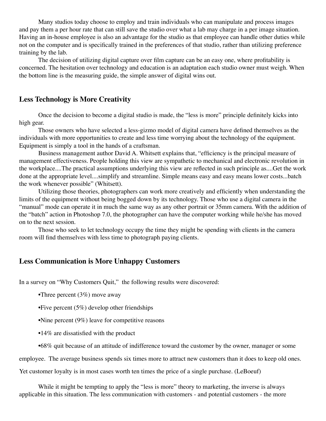Many studios today choose to employ and train individuals who can manipulate and process images and pay them a per hour rate that can still save the studio over what a lab may charge in a per image situation. Having an in-house employee is also an advantage for the studio as that employee can handle other duties while not on the computer and is specifically trained in the preferences of that studio, rather than utilizing preference training by the lab.

The decision of utilizing digital capture over film capture can be an easy one, where profitability is concerned. The hesitation over technology and education is an adaptation each studio owner must weigh. When the bottom line is the measuring guide, the simple answer of digital wins out.

# **Less Technology is More Creativity**

Once the decision to become a digital studio is made, the "less is more" principle definitely kicks into high gear.

Those owners who have selected a less-gizmo model of digital camera have defined themselves as the individuals with more opportunities to create and less time worrying about the technology of the equipment. Equipment is simply a tool in the hands of a craftsman.

Business management author David A. Whitsett explains that, "efficiency is the principal measure of management effectiveness. People holding this view are sympathetic to mechanical and electronic revolution in the workplace....The practical assumptions underlying this view are reflected in such principle as....Get the work done at the appropriate level....simplify and streamline. Simple means easy and easy means lower costs...batch the work whenever possible" (Whitsett).

Utilizing those theories, photographers can work more creatively and efficiently when understanding the limits of the equipment without being bogged down by its technology. Those who use a digital camera in the "manual" mode can operate it in much the same way as any other portrait or 35mm camera. With the addition of the "batch" action in Photoshop 7.0, the photographer can have the computer working while he/she has moved on to the next session.

Those who seek to let technology occupy the time they might be spending with clients in the camera room will find themselves with less time to photograph paying clients.

# **Less Communication is More Unhappy Customers**

In a survey on "Why Customers Quit," the following results were discovered:

- •Three percent  $(3%)$  move away
- •Five percent  $(5%)$  develop other friendships
- •Nine percent (9%) leave for competitive reasons
- •14% are dissatisfied with the product
- •68% quit because of an attitude of indifference toward the customer by the owner, manager or some

employee. The average business spends six times more to attract new customers than it does to keep old ones.

Yet customer loyalty is in most cases worth ten times the price of a single purchase. (LeBoeuf)

While it might be tempting to apply the "less is more" theory to marketing, the inverse is always applicable in this situation. The less communication with customers - and potential customers - the more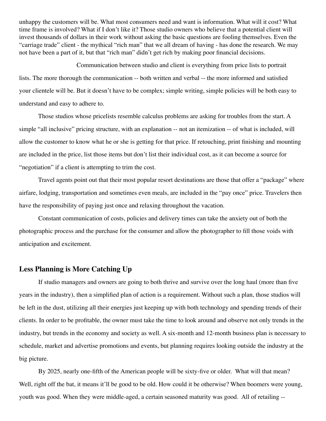unhappy the customers will be. What most consumers need and want is information. What will it cost? What time frame is involved? What if I don't like it? Those studio owners who believe that a potential client will invest thousands of dollars in their work without asking the basic questions are fooling themselves. Even the "carriage trade" client - the mythical "rich man" that we all dream of having - has done the research. We may not have been a part of it, but that "rich man" didn't get rich by making poor financial decisions.

Communication between studio and client is everything from price lists to portrait lists. The more thorough the communication -- both written and verbal -- the more informed and satisfied your clientele will be. But it doesn't have to be complex; simple writing, simple policies will be both easy to understand and easy to adhere to.

Those studios whose pricelists resemble calculus problems are asking for troubles from the start. A simple "all inclusive" pricing structure, with an explanation -- not an itemization -- of what is included, will allow the customer to know what he or she is getting for that price. If retouching, print finishing and mounting are included in the price, list those items but don't list their individual cost, as it can become a source for "negotiation" if a client is attempting to trim the cost.

Travel agents point out that their most popular resort destinations are those that offer a "package" where airfare, lodging, transportation and sometimes even meals, are included in the "pay once" price. Travelers then have the responsibility of paying just once and relaxing throughout the vacation.

Constant communication of costs, policies and delivery times can take the anxiety out of both the photographic process and the purchase for the consumer and allow the photographer to fill those voids with anticipation and excitement.

# **Less Planning is More Catching Up**

If studio managers and owners are going to both thrive and survive over the long haul (more than five years in the industry), then a simplified plan of action is a requirement. Without such a plan, those studios will be left in the dust, utilizing all their energies just keeping up with both technology and spending trends of their clients. In order to be profitable, the owner must take the time to look around and observe not only trends in the industry, but trends in the economy and society as well. A six-month and 12-month business plan is necessary to schedule, market and advertise promotions and events, but planning requires looking outside the industry at the big picture.

By 2025, nearly one-fifth of the American people will be sixty-five or older. What will that mean? Well, right off the bat, it means it'll be good to be old. How could it be otherwise? When boomers were young, youth was good. When they were middle-aged, a certain seasoned maturity was good. All of retailing --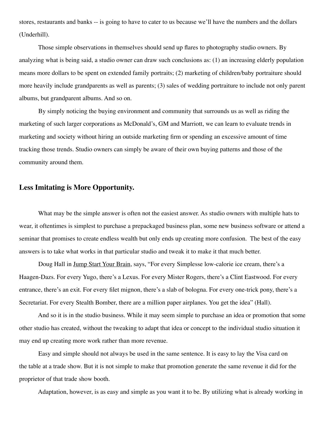stores, restaurants and banks -- is going to have to cater to us because we'll have the numbers and the dollars (Underhill).

Those simple observations in themselves should send up flares to photography studio owners. By analyzing what is being said, a studio owner can draw such conclusions as: (1) an increasing elderly population means more dollars to be spent on extended family portraits; (2) marketing of children/baby portraiture should more heavily include grandparents as well as parents; (3) sales of wedding portraiture to include not only parent albums, but grandparent albums. And so on.

By simply noticing the buying environment and community that surrounds us as well as riding the marketing of such larger corporations as McDonald's, GM and Marriott, we can learn to evaluate trends in marketing and society without hiring an outside marketing firm or spending an excessive amount of time tracking those trends. Studio owners can simply be aware of their own buying patterns and those of the community around them.

### **Less Imitating is More Opportunity.**

What may be the simple answer is often not the easiest answer. As studio owners with multiple hats to wear, it oftentimes is simplest to purchase a prepackaged business plan, some new business software or attend a seminar that promises to create endless wealth but only ends up creating more confusion. The best of the easy answers is to take what works in that particular studio and tweak it to make it that much better.

Doug Hall in Jump Start Your Brain, says, "For every Simplesse low-calorie ice cream, there's a Haagen-Dazs. For every Yugo, there's a Lexus. For every Mister Rogers, there's a Clint Eastwood. For every entrance, there's an exit. For every filet mignon, there's a slab of bologna. For every one-trick pony, there's a Secretariat. For every Stealth Bomber, there are a million paper airplanes. You get the idea" (Hall).

And so it is in the studio business. While it may seem simple to purchase an idea or promotion that some other studio has created, without the tweaking to adapt that idea or concept to the individual studio situation it may end up creating more work rather than more revenue.

Easy and simple should not always be used in the same sentence. It is easy to lay the Visa card on the table at a trade show. But it is not simple to make that promotion generate the same revenue it did for the proprietor of that trade show booth.

Adaptation, however, is as easy and simple as you want it to be. By utilizing what is already working in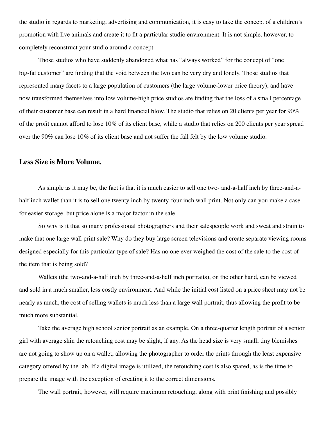the studio in regards to marketing, advertising and communication, it is easy to take the concept of a children's promotion with live animals and create it to fit a particular studio environment. It is not simple, however, to completely reconstruct your studio around a concept.

Those studios who have suddenly abandoned what has "always worked" for the concept of "one big-fat customer" are finding that the void between the two can be very dry and lonely. Those studios that represented many facets to a large population of customers (the large volume-lower price theory), and have now transformed themselves into low volume-high price studios are finding that the loss of a small percentage of their customer base can result in a hard financial blow. The studio that relies on 20 clients per year for 90% of the profit cannot afford to lose 10% of its client base, while a studio that relies on 200 clients per year spread over the 90% can lose 10% of its client base and not suffer the fall felt by the low volume studio.

### **Less Size is More Volume.**

As simple as it may be, the fact is that it is much easier to sell one two- and-a-half inch by three-and-ahalf inch wallet than it is to sell one twenty inch by twenty-four inch wall print. Not only can you make a case for easier storage, but price alone is a major factor in the sale.

So why is it that so many professional photographers and their salespeople work and sweat and strain to make that one large wall print sale? Why do they buy large screen televisions and create separate viewing rooms designed especially for this particular type of sale? Has no one ever weighed the cost of the sale to the cost of the item that is being sold?

Wallets (the two-and-a-half inch by three-and-a-half inch portraits), on the other hand, can be viewed and sold in a much smaller, less costly environment. And while the initial cost listed on a price sheet may not be nearly as much, the cost of selling wallets is much less than a large wall portrait, thus allowing the profit to be much more substantial.

Take the average high school senior portrait as an example. On a three-quarter length portrait of a senior girl with average skin the retouching cost may be slight, if any. As the head size is very small, tiny blemishes are not going to show up on a wallet, allowing the photographer to order the prints through the least expensive category offered by the lab. If a digital image is utilized, the retouching cost is also spared, as is the time to prepare the image with the exception of creating it to the correct dimensions.

The wall portrait, however, will require maximum retouching, along with print finishing and possibly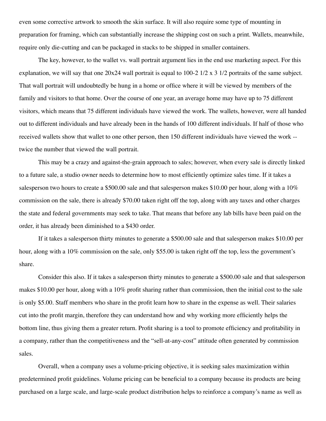even some corrective artwork to smooth the skin surface. It will also require some type of mounting in preparation for framing, which can substantially increase the shipping cost on such a print. Wallets, meanwhile, require only die-cutting and can be packaged in stacks to be shipped in smaller containers.

The key, however, to the wallet vs. wall portrait argument lies in the end use marketing aspect. For this explanation, we will say that one 20x24 wall portrait is equal to 100-2 1/2 x 3 1/2 portraits of the same subject. That wall portrait will undoubtedly be hung in a home or office where it will be viewed by members of the family and visitors to that home. Over the course of one year, an average home may have up to 75 different visitors, which means that 75 different individuals have viewed the work. The wallets, however, were all handed out to different individuals and have already been in the hands of 100 different individuals. If half of those who received wallets show that wallet to one other person, then 150 different individuals have viewed the work - twice the number that viewed the wall portrait.

This may be a crazy and against-the-grain approach to sales; however, when every sale is directly linked to a future sale, a studio owner needs to determine how to most efficiently optimize sales time. If it takes a salesperson two hours to create a \$500.00 sale and that salesperson makes \$10.00 per hour, along with a 10% commission on the sale, there is already \$70.00 taken right off the top, along with any taxes and other charges the state and federal governments may seek to take. That means that before any lab bills have been paid on the order, it has already been diminished to a \$430 order.

If it takes a salesperson thirty minutes to generate a \$500.00 sale and that salesperson makes \$10.00 per hour, along with a 10% commission on the sale, only \$55.00 is taken right off the top, less the government's share.

Consider this also. If it takes a salesperson thirty minutes to generate a \$500.00 sale and that salesperson makes \$10.00 per hour, along with a 10% profit sharing rather than commission, then the initial cost to the sale is only \$5.00. Staff members who share in the profit learn how to share in the expense as well. Their salaries cut into the profit margin, therefore they can understand how and why working more efficiently helps the bottom line, thus giving them a greater return. Profit sharing is a tool to promote efficiency and profitability in a company, rather than the competitiveness and the "sell-at-any-cost" attitude often generated by commission sales.

Overall, when a company uses a volume-pricing objective, it is seeking sales maximization within predetermined profit guidelines. Volume pricing can be beneficial to a company because its products are being purchased on a large scale, and large-scale product distribution helps to reinforce a company's name as well as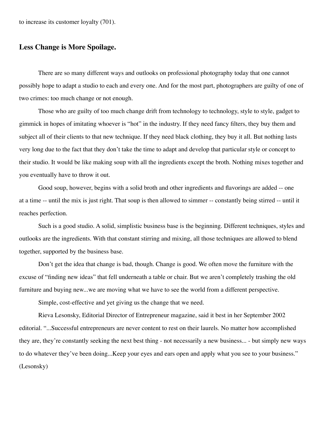to increase its customer loyalty (701).

### **Less Change is More Spoilage.**

There are so many different ways and outlooks on professional photography today that one cannot possibly hope to adapt a studio to each and every one. And for the most part, photographers are guilty of one of two crimes: too much change or not enough.

Those who are guilty of too much change drift from technology to technology, style to style, gadget to gimmick in hopes of imitating whoever is "hot" in the industry. If they need fancy filters, they buy them and subject all of their clients to that new technique. If they need black clothing, they buy it all. But nothing lasts very long due to the fact that they don't take the time to adapt and develop that particular style or concept to their studio. It would be like making soup with all the ingredients except the broth. Nothing mixes together and you eventually have to throw it out.

Good soup, however, begins with a solid broth and other ingredients and flavorings are added -- one at a time -- until the mix is just right. That soup is then allowed to simmer -- constantly being stirred -- until it reaches perfection.

Such is a good studio. A solid, simplistic business base is the beginning. Different techniques, styles and outlooks are the ingredients. With that constant stirring and mixing, all those techniques are allowed to blend together, supported by the business base.

Don't get the idea that change is bad, though. Change is good. We often move the furniture with the excuse of "finding new ideas" that fell underneath a table or chair. But we aren't completely trashing the old furniture and buying new...we are moving what we have to see the world from a different perspective.

Simple, cost-effective and yet giving us the change that we need.

Rieva Lesonsky, Editorial Director of Entrepreneur magazine, said it best in her September 2002 editorial. "...Successful entrepreneurs are never content to rest on their laurels. No matter how accomplished they are, they're constantly seeking the next best thing - not necessarily a new business... - but simply new ways to do whatever they've been doing...Keep your eyes and ears open and apply what you see to your business." (Lesonsky)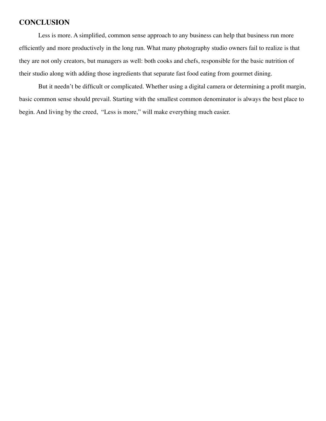# **CONCLUSION**

Less is more. A simplified, common sense approach to any business can help that business run more efficiently and more productively in the long run. What many photography studio owners fail to realize is that they are not only creators, but managers as well: both cooks and chefs, responsible for the basic nutrition of their studio along with adding those ingredients that separate fast food eating from gourmet dining.

But it needn't be difficult or complicated. Whether using a digital camera or determining a profit margin, basic common sense should prevail. Starting with the smallest common denominator is always the best place to begin. And living by the creed, "Less is more," will make everything much easier.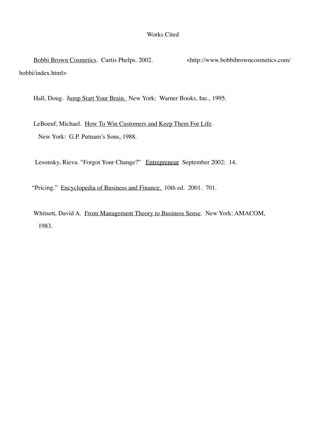#### Works Cited

Bobbi Brown Cosmetics. Curtis Phelps. 2002. <http://www.bobbibrowncosmetics.com/ bobbi/index.html>

Hall, Doug. Jump Start Your Brain. New York: Warner Books, Inc., 1995.

 LeBoeuf, Michael. How To Win Customers and Keep Them For Life. New York: G.P. Putnam's Sons, 1988.

Lesonsky, Rieva. "Forgot Your Change?" Entrepreneur September 2002: 14.

"Pricing." Encyclopedia of Business and Finance. 10th ed. 2001. 701.

 Whitsett, David A. From Management Theory to Business Sense. New York: AMACOM, 1983.